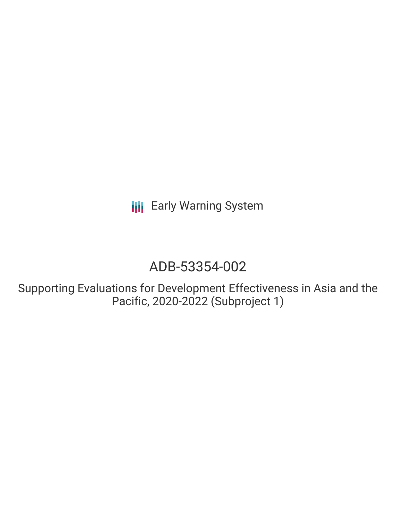**III** Early Warning System

# ADB-53354-002

Supporting Evaluations for Development Effectiveness in Asia and the Pacific, 2020-2022 (Subproject 1)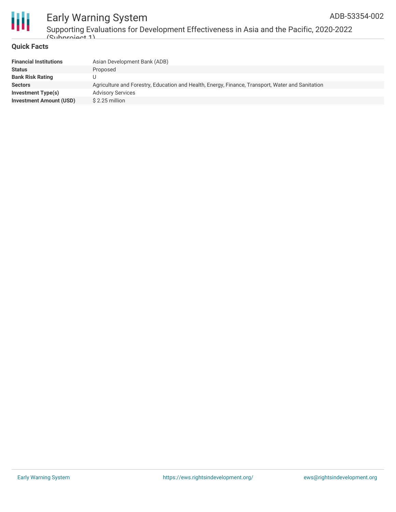

### Early Warning System ADB-53354-002

Supporting Evaluations for Development Effectiveness in Asia and the Pacific, 2020-2022  $\frac{1}{2}$ 

#### **Quick Facts**

| <b>Financial Institutions</b>  | Asian Development Bank (ADB)                                                                     |
|--------------------------------|--------------------------------------------------------------------------------------------------|
| <b>Status</b>                  | Proposed                                                                                         |
| <b>Bank Risk Rating</b>        |                                                                                                  |
| <b>Sectors</b>                 | Agriculture and Forestry, Education and Health, Energy, Finance, Transport, Water and Sanitation |
| Investment Type(s)             | <b>Advisory Services</b>                                                                         |
| <b>Investment Amount (USD)</b> | $$2.25$ million                                                                                  |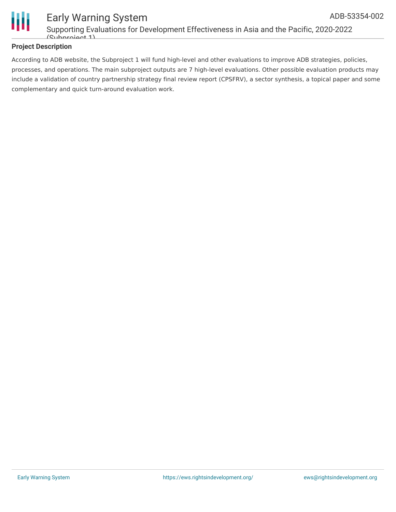

#### **Project Description**

According to ADB website, the Subproject 1 will fund high-level and other evaluations to improve ADB strategies, policies, processes, and operations. The main subproject outputs are 7 high-level evaluations. Other possible evaluation products may include a validation of country partnership strategy final review report (CPSFRV), a sector synthesis, a topical paper and some complementary and quick turn-around evaluation work.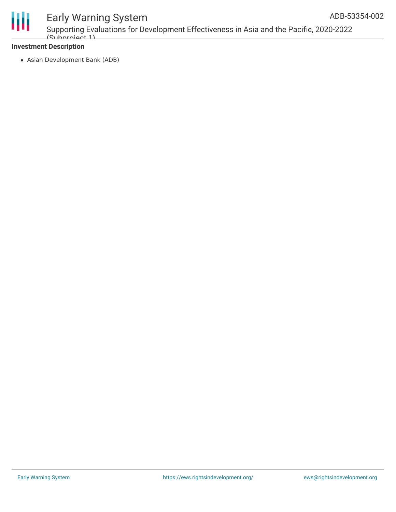

### Early Warning System

Supporting Evaluations for Development Effectiveness in Asia and the Pacific, 2020-2022  $(Subnraid)$ 

#### **Investment Description**

Asian Development Bank (ADB)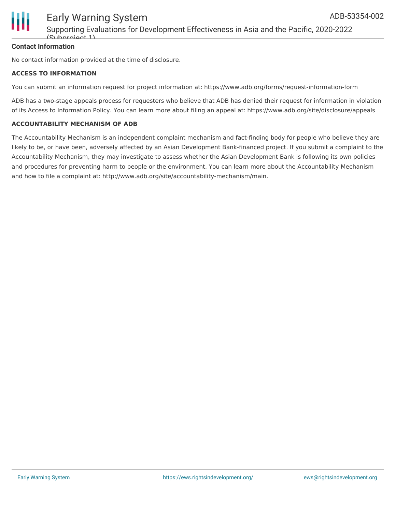

#### **Contact Information**

No contact information provided at the time of disclosure.

#### **ACCESS TO INFORMATION**

You can submit an information request for project information at: https://www.adb.org/forms/request-information-form

ADB has a two-stage appeals process for requesters who believe that ADB has denied their request for information in violation of its Access to Information Policy. You can learn more about filing an appeal at: https://www.adb.org/site/disclosure/appeals

#### **ACCOUNTABILITY MECHANISM OF ADB**

The Accountability Mechanism is an independent complaint mechanism and fact-finding body for people who believe they are likely to be, or have been, adversely affected by an Asian Development Bank-financed project. If you submit a complaint to the Accountability Mechanism, they may investigate to assess whether the Asian Development Bank is following its own policies and procedures for preventing harm to people or the environment. You can learn more about the Accountability Mechanism and how to file a complaint at: http://www.adb.org/site/accountability-mechanism/main.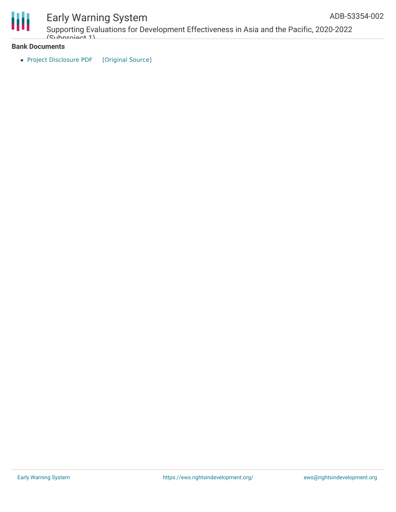

## Early Warning System

Supporting Evaluations for Development Effectiveness in Asia and the Pacific, 2020-2022  $(Subnraid)$ 

#### **Bank Documents**

• Project [Disclosure](https://ewsdata.rightsindevelopment.org/files/documents/02/ADB-53354-002.pdf) PDF [\[Original](https://www.adb.org/printpdf/projects/53354-002/main) Source]